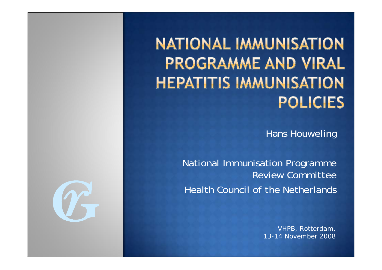**NATIONAL IMMUNISATION PROGRAMME AND VIRAL HEPATITIS IMMUNISATION POLICIES** 

Hans Houweling

National Immunisation Programme Review CommitteeHealth Council of the Netherlands

> VHPB, Rotterdam, 13-14 November 2008

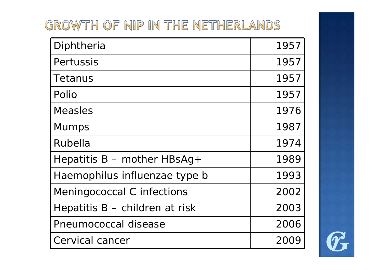### GROWTH OF NIP IN THE NETHERLANDS

| Diphtheria                     | 1957 |
|--------------------------------|------|
| Pertussis                      | 1957 |
| Tetanus                        | 1957 |
| Polio                          | 1957 |
| Measles                        | 1976 |
| <b>Mumps</b>                   | 1987 |
| Rubella                        | 1974 |
| Hepatitis $B$ – mother HBsAg + | 1989 |
| Haemophilus influenzae type b  | 1993 |
| Meningococcal C infections     | 2002 |
| Hepatitis B – children at risk | 2003 |
| Pneumococcal disease           | 2006 |
| Cervical cancer                | 20C  |

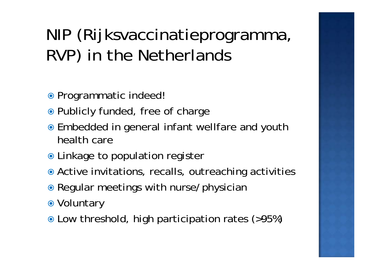# NIP (Rijksvaccinatieprogramma, RVP) in the Netherlands

- Programmatic indeed!
- Publicly funded, free of charge
- Embedded in general infant wellfare and youth health care
- Linkage to population register
- Active invitations, recalls, outreaching activities
- Regular meetings with nurse/physician
- Voluntary
- Low threshold, high participation rates (>95%)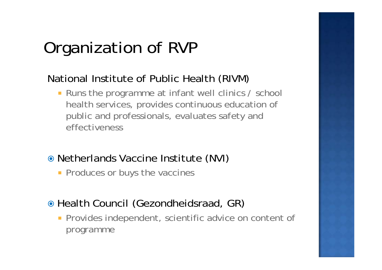# Organization of RVP

### National Institute of Public Health (RIVM)

 $\overline{\phantom{a}}$  Runs the programme at infant well clinics / school health services, provides continuous education of public and professionals, evaluates safety and effectiveness

#### Netherlands Vaccine Institute (NVI)

**Produces or buys the vaccines** 

### Health Council (Gezondheidsraad, GR)

**Provides independent, scientific advice on content of** programme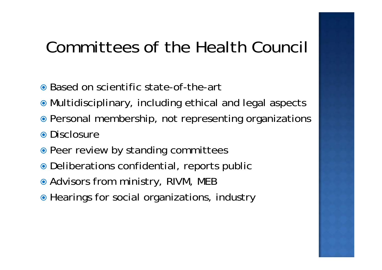## Committees of the Health Council

- Based on scientific state-of-the-art
- Multidisciplinary, including ethical and legal aspects
- Personal membership, not representing organizations • Disclosure
- Peer review by standing committees
- Deliberations confidential, reports public
- Advisors from ministry, RIVM, MEB
- Hearings for social organizations, industry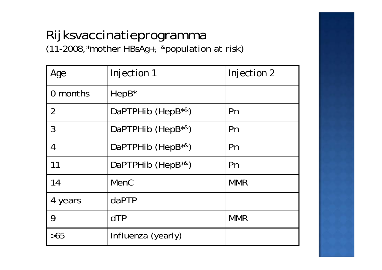# Rijksvaccinatieprogramma

(11-2008,\*mother HBsAg+, &population at risk)

| Age            | Injection 1                        | Injection 2 |
|----------------|------------------------------------|-------------|
| 0 months       | HepB <sup>*</sup>                  |             |
| $\overline{2}$ | DaPTPHib (HepB <sup>*&amp;</sup> ) | Pn          |
| 3              | DaPTPHib (HepB <sup>*&amp;</sup> ) | Pn          |
| $\overline{4}$ | DaPTPHib (HepB <sup>*&amp;</sup> ) | Pn          |
| 11             | DaPTPHib (HepB <sup>*&amp;</sup> ) | Pn          |
| 14             | <b>MenC</b>                        | <b>MMR</b>  |
| 4 years        | daPTP                              |             |
| 9              | dTP                                | <b>MMR</b>  |
| >65            | Influenza (yearly)                 |             |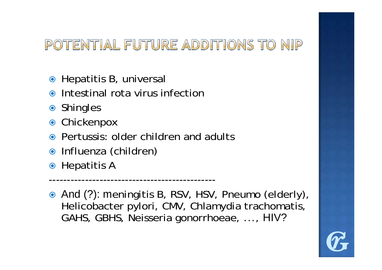### POTENTIAL FUTURE ADDITIONS TO NIP

- Hepatitis B, universal
- Intestinal rota virus infection
- Shingles
- $\bullet$ Chickenpox
- Pertussis: older children and adults

----------------------------------------------

- Influenza (children)
- Hepatitis A
- And (?): meningitis B, RSV, HSV, Pneumo (elderly), Helicobacter pylori, CMV, Chlamydia trachomatis, GAHS, GBHS, Neisseria gonorrhoeae, ..., HIV?

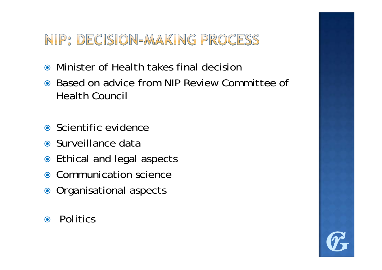### NIP: DECISION-MAKING PROCESS

- $\odot$ Minister of Health takes final decision
- $\odot$  Based on advice from NIP Review Committee of Health Council
- Scientific evidence
- Surveillance data
- Ethical and legal aspects
- Communication science
- Organisational aspects
- $\odot$ **Politics**

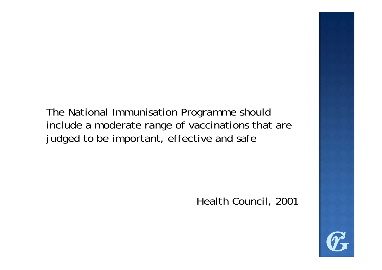The National Immunisation Programme should include a moderate range of vaccinations that are judged to be important, effective and safe

Health Council, 2001

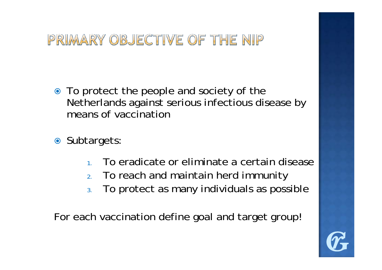## PRIMARY OBJECTIVE OF THE NIP

- To protect the people and society of the Netherlands against serious infectious disease by means of vaccination
- Subtargets:
	- 1. To eradicate or eliminate a certain disease
	- 2. To reach and maintain herd immunity
	- 3. To protect as many individuals as possible

For each vaccination define goal and target group!

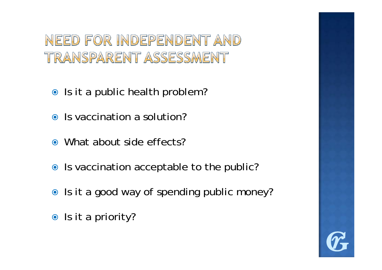NEED FOR INDEPENDENT AND TRANSPARENT ASSESSMENT

- Is it a public health problem?
- Is vaccination a solution?
- What about side effects?
- Is vaccination acceptable to the public?
- Is it a good way of spending public money?
- Is it a priority?

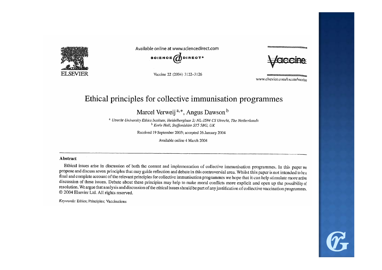

Available online at www.sciencedirect.com

**SCIENCE** ODIRECT<sup>.</sup>

Vaccine 22 (2004) 3122-3126

www.elsevier.com/locate/vaccine

#### Ethical principles for collective immunisation programmes

Marcel Verweij<sup>a,\*</sup>, Angus Dawson<sup>b</sup>

<sup>a</sup> Utrecht University Ethics Institute, Heidelberglaan 2; NL-3584 CS Utrecht, The Netherlands <sup>b</sup> Keele Hall, Staffordshire ST5 5BG, UK

Received 19 September 2003; accepted 26 January 2004

Available online 4 March 2004

#### **Abstract**

Ethical issues arise in discussion of both the content and implementation of collective immunisation programmes. In this paper we propose and discuss seven principles that may guide reflection and debate in this controversial area. Whilst this paper is not intended to be a final and complete account of the relevant principles for collective immunisation programmes we hope that it can help stimulate more active discussion of these issues. Debate about these principles may help to make moral conflicts more explicit and open up the possibility of resolution. We argue that analysis and discussion of the ethical issues should be part of any justification of collective vaccination programmes. © 2004 Elsevier Ltd. All rights reserved.

Keywords: Ethics; Principles; Vaccinations

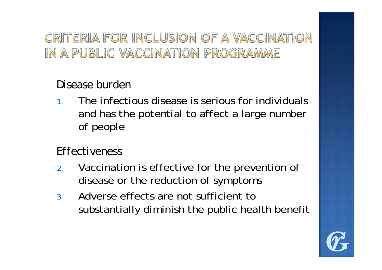### CRITERIA FOR INCLUSION OF A VACCINATION IN A PUBLIC VACCINATION PROGRAMME

#### *Disease burden*

1. The infectious disease is serious for individuals and has the potential to affect a large number of people

#### *Effectiveness*

- 2. Vaccination is effective for the prevention of disease or the reduction of symptoms
- 3. Adverse effects are not sufficient to substantially diminish the public health benefit

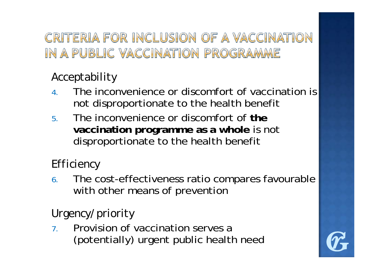### CRITERIA FOR INCLUSION OF A VACCINATION IN A PUBLIC VACCINATION PROGRAMME

### *Acceptability*

- 4. The inconvenience or discomfort of vaccination is not disproportionate to the health benefit
- 5. The inconvenience or discomfort of **the vaccination programme as a whole** is not disproportionate to the health benefit

### *Efficiency*

6. The cost-effectiveness ratio compares favourable with other means of prevention

### *Urgency/priority*

7. Provision of vaccination serves a (potentially) urgent public health need

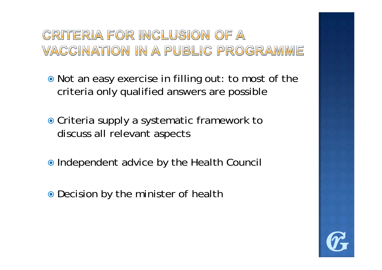### CRITERIA FOR INCLUSION OF A VACCINATION IN A PUBLIC PROGRAMME

• Not an easy exercise in filling out: to most of the criteria only qualified answers are possible

- Criteria supply a systematic framework to discuss all relevant aspects
- Independent advice by the Health Council
- Decision by the minister of health

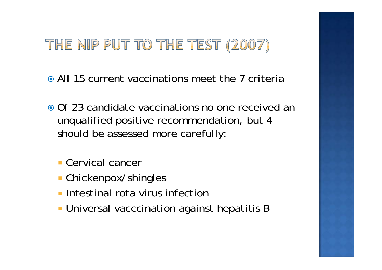## THE NIP PUT TO THE TEST (2007)

- All 15 current vaccinations meet the 7 criteria
- Of 23 candidate vaccinations no one received an unqualified positive recommendation, but 4 should be assessed more carefully:
	- Cervical cancer
	- Chickenpox/shingles
	- **Intestinal rota virus infection**
	- **I** Universal vacccination against hepatitis B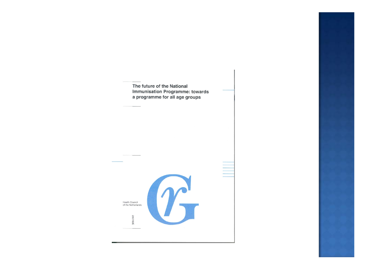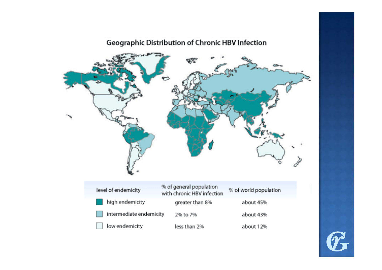#### Geographic Distribution of Chronic HBV Infection



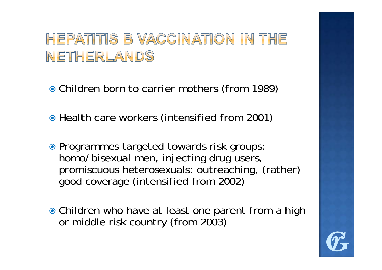## HEPATITIS B VACCINATION IN THE NETHERLANDS

Children born to carrier mothers (from 1989)

• Health care workers (intensified from 2001)

- Programmes targeted towards risk groups: homo/bisexual men, injecting drug users, promiscuous heterosexuals: outreaching, (rather) good coverage (intensified from 2002)
- Children who have at least one parent from a high or middle risk country (from 2003)

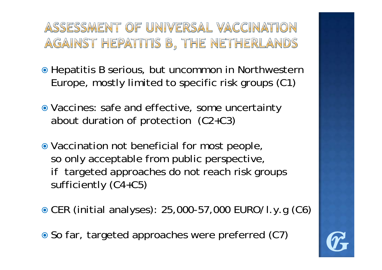### ASSESSMENT OF UNIVERSAL VACCINATION AGAINST HEPATITIS B, THE NETHERLANDS

- Hepatitis B serious, but uncommon in Northwestern Europe, mostly limited to specific risk groups (C1)
- Vaccines: safe and effective, some uncertainty about duration of protection (C2+C3)
- Vaccination not beneficial for most people, so only acceptable from public perspective, if targeted approaches do not reach risk groups sufficiently (C4+C5)
- CER (initial analyses): 25,000-57,000 EURO/l.y.g (C6)

● So far, targeted approaches were preferred (C7)

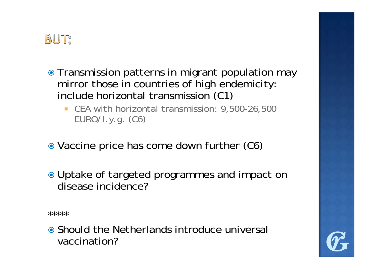

- Transmission patterns in migrant population may mirror those in countries of high endemicity: include horizontal transmission (C1)
	- CEA with horizontal transmission: 9,500-26,500 EURO/l.y.g. (C6)
- Vaccine price has come down further (C6)
- Uptake of targeted programmes and impact on disease incidence?

\*\*\*\*\*

• Should the Netherlands introduce universal vaccination?

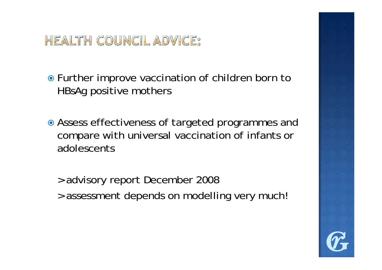### **HEALTH COUNCIL ADVICE:**

● Further improve vaccination of children born to HBsAg positive mothers

- Assess effectiveness of targeted programmes and compare with universal vaccination of infants or adolescents
	- > advisory report December 2008
	- > assessment depends on modelling very much!